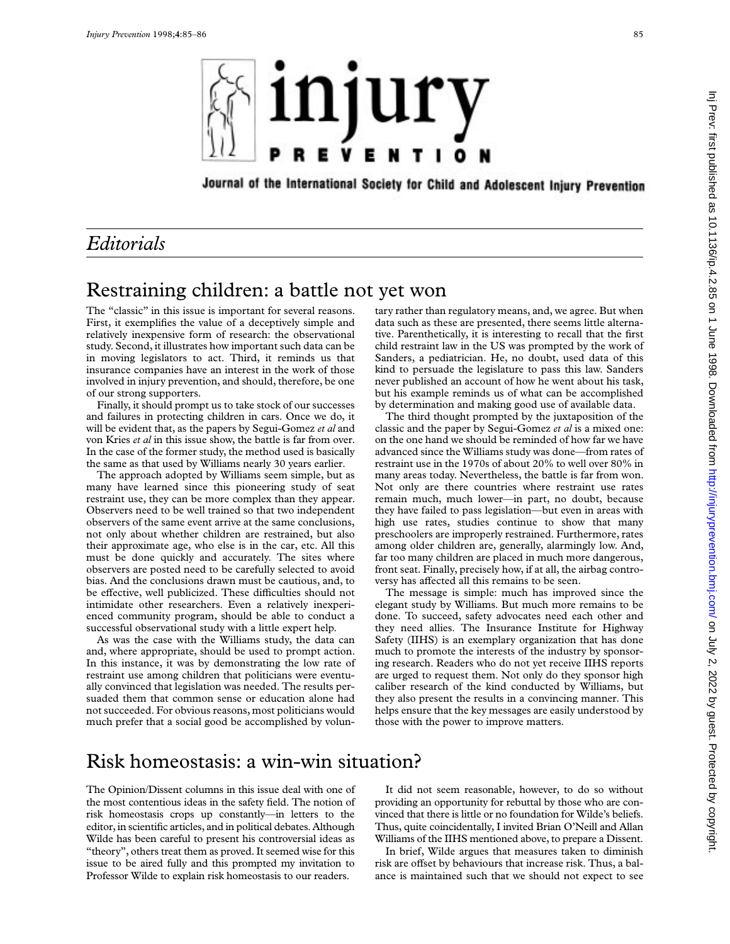

Journal of the International Society for Child and Adolescent Injury Prevention

## *Editorials*

## Restraining children: a battle not yet won

The "classic" in this issue is important for several reasons. First, it exemplifies the value of a deceptively simple and relatively inexpensive form of research: the observational study. Second, it illustrates how important such data can be in moving legislators to act. Third, it reminds us that insurance companies have an interest in the work of those involved in injury prevention, and should, therefore, be one of our strong supporters.

Finally, it should prompt us to take stock of our successes and failures in protecting children in cars. Once we do, it will be evident that, as the papers by Segui-Gomez *et al* and von Kries *et al* in this issue show, the battle is far from over. In the case of the former study, the method used is basically the same as that used by Williams nearly 30 years earlier.

The approach adopted by Williams seem simple, but as many have learned since this pioneering study of seat restraint use, they can be more complex than they appear. Observers need to be well trained so that two independent observers of the same event arrive at the same conclusions, not only about whether children are restrained, but also their approximate age, who else is in the car, etc. All this must be done quickly and accurately. The sites where observers are posted need to be carefully selected to avoid bias. And the conclusions drawn must be cautious, and, to be effective, well publicized. These difficulties should not intimidate other researchers. Even a relatively inexperienced community program, should be able to conduct a successful observational study with a little expert help.

As was the case with the Williams study, the data can and, where appropriate, should be used to prompt action. In this instance, it was by demonstrating the low rate of restraint use among children that politicians were eventually convinced that legislation was needed. The results persuaded them that common sense or education alone had not succeeded. For obvious reasons, most politicians would much prefer that a social good be accomplished by voluntary rather than regulatory means, and, we agree. But when data such as these are presented, there seems little alternative. Parenthetically, it is interesting to recall that the first child restraint law in the US was prompted by the work of Sanders, a pediatrician. He, no doubt, used data of this kind to persuade the legislature to pass this law. Sanders never published an account of how he went about his task, but his example reminds us of what can be accomplished by determination and making good use of available data.

The third thought prompted by the juxtaposition of the classic and the paper by Segui-Gomez *et al* is a mixed one: on the one hand we should be reminded of how far we have advanced since the Williams study was done—from rates of restraint use in the 1970s of about 20% to well over 80% in many areas today. Nevertheless, the battle is far from won. Not only are there countries where restraint use rates remain much, much lower—in part, no doubt, because they have failed to pass legislation—but even in areas with high use rates, studies continue to show that many preschoolers are improperly restrained. Furthermore, rates among older children are, generally, alarmingly low. And, far too many children are placed in much more dangerous, front seat. Finally, precisely how, if at all, the airbag controversy has affected all this remains to be seen.

The message is simple: much has improved since the elegant study by Williams. But much more remains to be done. To succeed, safety advocates need each other and they need allies. The Insurance Institute for Highway Safety (IIHS) is an exemplary organization that has done much to promote the interests of the industry by sponsoring research. Readers who do not yet receive IIHS reports are urged to request them. Not only do they sponsor high caliber research of the kind conducted by Williams, but they also present the results in a convincing manner. This helps ensure that the key messages are easily understood by those with the power to improve matters.

## Risk homeostasis: a win-win situation?

The Opinion/Dissent columns in this issue deal with one of the most contentious ideas in the safety field. The notion of risk homeostasis crops up constantly—in letters to the editor, in scientific articles, and in political debates. Although Wilde has been careful to present his controversial ideas as "theory", others treat them as proved. It seemed wise for this issue to be aired fully and this prompted my invitation to Professor Wilde to explain risk homeostasis to our readers.

It did not seem reasonable, however, to do so without providing an opportunity for rebuttal by those who are convinced that there is little or no foundation for Wilde's beliefs. Thus, quite coincidentally, I invited Brian O'Neill and Allan Williams of the IIHS mentioned above, to prepare a Dissent.

In brief, Wilde argues that measures taken to diminish risk are offset by behaviours that increase risk. Thus, a balance is maintained such that we should not expect to see